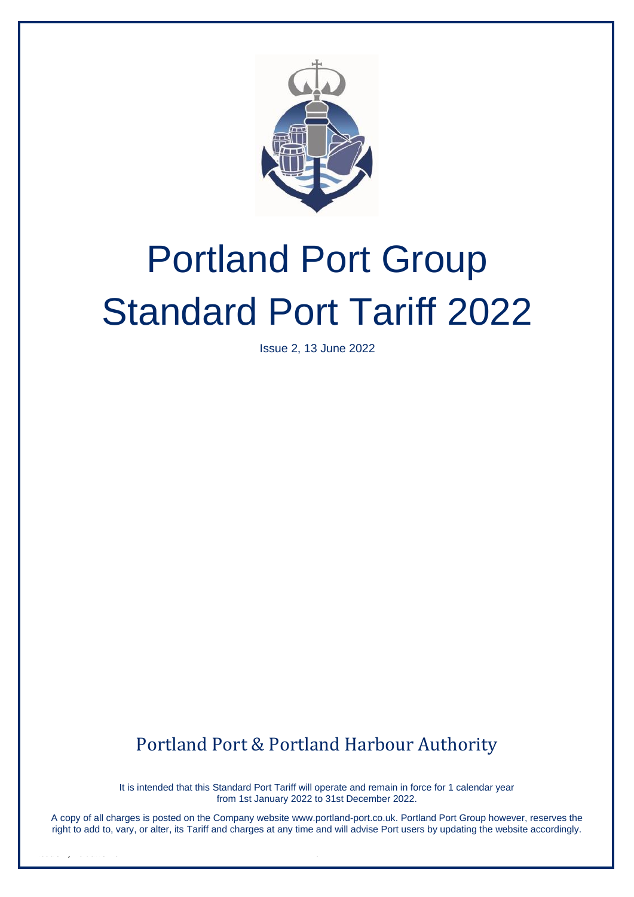

# Portland Port Group Standard Port Tariff 2022

Issue 2, 13 June 2022

Portland Port & Portland Harbour Authority

It is intended that this Standard Port Tariff will operate and remain in force for 1 calendar year from 1st January 2022 to 31st December 2022.

A copy of all charges is posted on the Company website [www.portland-port.co.uk.](http://www.portland-port.co.uk/) Portland Port Group however, reserves the right to add to, vary, or alter, its Tariff and charges at any time and will advise Port users by updating the website accordingly.

Issue 2, 13 June 2022 0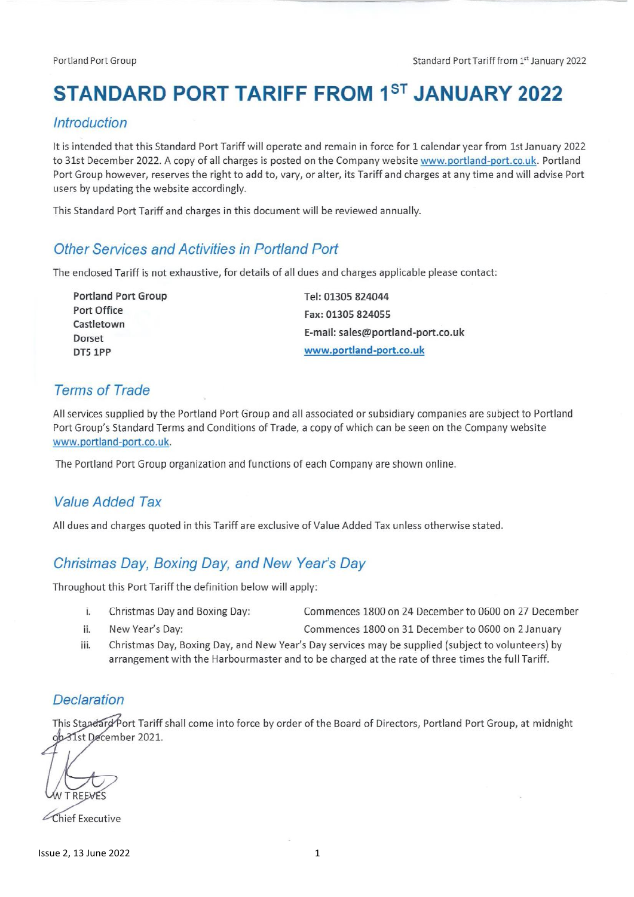# **STANDARD PORT TARIFF FROM 1ST JANUARY 2022**

#### **Introduction**

It is intended that this Standard Port Tariff will operate and remain in force for 1 calendar year from 1st January 2022 to 31st December 2022. A copy of all charges is posted on the Company website www.portland-port.co.uk. Portland Port Group however, reserves the right to add to, vary, or alter, its Tariff and charges at any time and will advise Port users by updating the website accordingly.

This Standard Port Tariff and charges in this document will be reviewed annually.

#### Other Services and Activities in Portland Port

The enclosed Tariff is not exhaustive, for details of all dues and charges applicable please contact:

| Tel: 01305 824044                 |
|-----------------------------------|
| Fax: 01305 824055                 |
|                                   |
| E-mail: sales@portland-port.co.uk |
| www.portland-port.co.uk           |
|                                   |

#### **Terms of Trade**

All services supplied by the Portland Port Group and all associated or subsidiary companies are subject to Portland Port Group's Standard Terms and Conditions of Trade, a copy of which can be seen on the Company website www.portland-port.co.uk.

The Portland Port Group organization and functions of each Company are shown online.

#### **Value Added Tax**

All dues and charges quoted in this Tariff are exclusive of Value Added Tax unless otherwise stated.

#### Christmas Day, Boxing Day, and New Year's Day

Throughout this Port Tariff the definition below will apply:

- i. Christmas Day and Boxing Day: Commences 1800 on 24 December to 0600 on 27 December
- ii. New Year's Day: Commences 1800 on 31 December to 0600 on 2 January
- iii. Christmas Day, Boxing Day, and New Year's Day services may be supplied (subject to volunteers) by arrangement with the Harbourmaster and to be charged at the rate of three times the full Tariff.

#### **Declaration**

This Standard Port Tariff shall come into force by order of the Board of Directors, Portland Port Group, at midnight ob-31st December 2021.

Chief Executive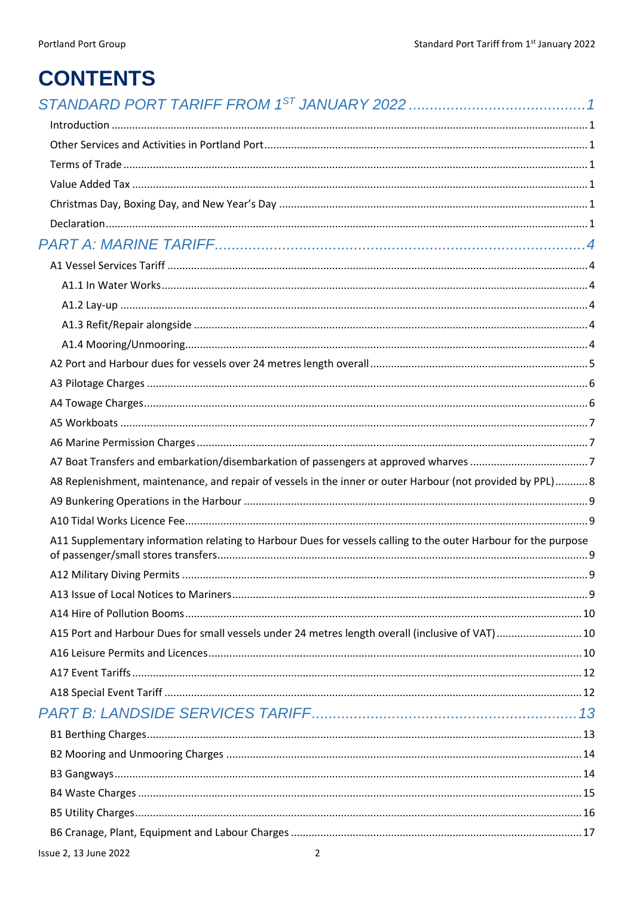# **CONTENTS**

| $\label{eq:interadd} \textit{Introduction} \,\, \ldots \,\, \ldots \,\, \ldots \,\, \ldots \,\, \ldots \,\, \ldots \,\, \ldots \,\, \ldots \,\, \ldots \,\, \ldots \,\, \ldots \,\, \ldots \,\, \ldots \,\, \ldots \,\, \ldots \,\, \ldots \,\, \ldots \,\, \ldots \,\, \ldots \,\, \ldots \,\, \ldots \,\, \ldots \,\, \ldots \,\, \ldots \,\, \ldots \,\, \ldots \,\, \ldots \,\, \ldots \,\, \ldots \,\, \ldots \,\, \ldots \,\, \ldots \,\, \ldots \,\, \ldots \,\$ |  |
|-------------------------------------------------------------------------------------------------------------------------------------------------------------------------------------------------------------------------------------------------------------------------------------------------------------------------------------------------------------------------------------------------------------------------------------------------------------------------|--|
|                                                                                                                                                                                                                                                                                                                                                                                                                                                                         |  |
|                                                                                                                                                                                                                                                                                                                                                                                                                                                                         |  |
|                                                                                                                                                                                                                                                                                                                                                                                                                                                                         |  |
|                                                                                                                                                                                                                                                                                                                                                                                                                                                                         |  |
|                                                                                                                                                                                                                                                                                                                                                                                                                                                                         |  |
|                                                                                                                                                                                                                                                                                                                                                                                                                                                                         |  |
|                                                                                                                                                                                                                                                                                                                                                                                                                                                                         |  |
|                                                                                                                                                                                                                                                                                                                                                                                                                                                                         |  |
|                                                                                                                                                                                                                                                                                                                                                                                                                                                                         |  |
|                                                                                                                                                                                                                                                                                                                                                                                                                                                                         |  |
|                                                                                                                                                                                                                                                                                                                                                                                                                                                                         |  |
|                                                                                                                                                                                                                                                                                                                                                                                                                                                                         |  |
|                                                                                                                                                                                                                                                                                                                                                                                                                                                                         |  |
|                                                                                                                                                                                                                                                                                                                                                                                                                                                                         |  |
|                                                                                                                                                                                                                                                                                                                                                                                                                                                                         |  |
|                                                                                                                                                                                                                                                                                                                                                                                                                                                                         |  |
|                                                                                                                                                                                                                                                                                                                                                                                                                                                                         |  |
| A8 Replenishment, maintenance, and repair of vessels in the inner or outer Harbour (not provided by PPL)8                                                                                                                                                                                                                                                                                                                                                               |  |
|                                                                                                                                                                                                                                                                                                                                                                                                                                                                         |  |
|                                                                                                                                                                                                                                                                                                                                                                                                                                                                         |  |
| A11 Supplementary information relating to Harbour Dues for vessels calling to the outer Harbour for the purpose                                                                                                                                                                                                                                                                                                                                                         |  |
|                                                                                                                                                                                                                                                                                                                                                                                                                                                                         |  |
|                                                                                                                                                                                                                                                                                                                                                                                                                                                                         |  |
|                                                                                                                                                                                                                                                                                                                                                                                                                                                                         |  |
| A15 Port and Harbour Dues for small vessels under 24 metres length overall (inclusive of VAT) 10                                                                                                                                                                                                                                                                                                                                                                        |  |
|                                                                                                                                                                                                                                                                                                                                                                                                                                                                         |  |
|                                                                                                                                                                                                                                                                                                                                                                                                                                                                         |  |
|                                                                                                                                                                                                                                                                                                                                                                                                                                                                         |  |
|                                                                                                                                                                                                                                                                                                                                                                                                                                                                         |  |
|                                                                                                                                                                                                                                                                                                                                                                                                                                                                         |  |
|                                                                                                                                                                                                                                                                                                                                                                                                                                                                         |  |
|                                                                                                                                                                                                                                                                                                                                                                                                                                                                         |  |
|                                                                                                                                                                                                                                                                                                                                                                                                                                                                         |  |
|                                                                                                                                                                                                                                                                                                                                                                                                                                                                         |  |
|                                                                                                                                                                                                                                                                                                                                                                                                                                                                         |  |
| Issue 2, 13 June 2022<br>2                                                                                                                                                                                                                                                                                                                                                                                                                                              |  |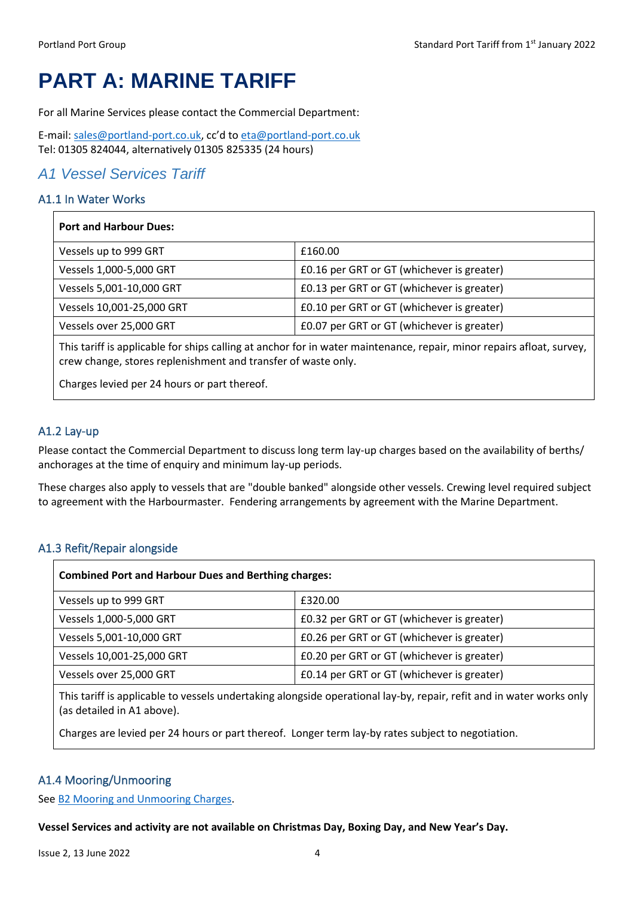# <span id="page-4-0"></span>**PART A: MARINE TARIFF**

For all Marine Services please contact the Commercial Department:

E-mail: [sales@portland-port.co.uk,](mailto:sales@portland-port.co.uk;%20eta@portland-port.co.uk) cc'd to [eta@portland-port.co.uk](file:///C:/Users/fotti/AppData/Roaming/Microsoft/Word/eta@portland-port.co.uk) Tel: 01305 824044, alternatively 01305 825335 (24 hours)

#### <span id="page-4-1"></span>*A1 Vessel Services Tariff*

#### <span id="page-4-2"></span>A1.1 In Water Works

| <b>Port and Harbour Dues:</b> |                                            |
|-------------------------------|--------------------------------------------|
| Vessels up to 999 GRT         | £160.00                                    |
| Vessels 1,000-5,000 GRT       | £0.16 per GRT or GT (whichever is greater) |
| Vessels 5,001-10,000 GRT      | £0.13 per GRT or GT (whichever is greater) |
| Vessels 10,001-25,000 GRT     | £0.10 per GRT or GT (whichever is greater) |
| Vessels over 25,000 GRT       | £0.07 per GRT or GT (whichever is greater) |
|                               |                                            |

This tariff is applicable for ships calling at anchor for in water maintenance, repair, minor repairs afloat, survey, crew change, stores replenishment and transfer of waste only.

Charges levied per 24 hours or part thereof.

#### <span id="page-4-3"></span>A1.2 Lay-up

Please contact the Commercial Department to discuss long term lay-up charges based on the availability of berths/ anchorages at the time of enquiry and minimum lay-up periods.

These charges also apply to vessels that are "double banked" alongside other vessels. Crewing level required subject to agreement with the Harbourmaster. Fendering arrangements by agreement with the Marine Department.

#### <span id="page-4-4"></span>A1.3 Refit/Repair alongside

| <b>Combined Port and Harbour Dues and Berthing charges:</b> |                                            |  |
|-------------------------------------------------------------|--------------------------------------------|--|
| Vessels up to 999 GRT                                       | £320.00                                    |  |
| Vessels 1,000-5,000 GRT                                     | £0.32 per GRT or GT (whichever is greater) |  |
| Vessels 5,001-10,000 GRT                                    | £0.26 per GRT or GT (whichever is greater) |  |
| Vessels 10,001-25,000 GRT                                   | £0.20 per GRT or GT (whichever is greater) |  |
| Vessels over 25,000 GRT                                     | £0.14 per GRT or GT (whichever is greater) |  |

This tariff is applicable to vessels undertaking alongside operational lay-by, repair, refit and in water works only (as detailed in A1 above).

Charges are levied per 24 hours or part thereof. Longer term lay-by rates subject to negotiation.

#### <span id="page-4-5"></span>A1.4 Mooring/Unmooring

Se[e B2 Mooring and Unmooring Charges.](#page-14-0)

#### **Vessel Services and activity are not available on Christmas Day, Boxing Day, and New Year's Day.**

Issue 2, 13 June 2022 4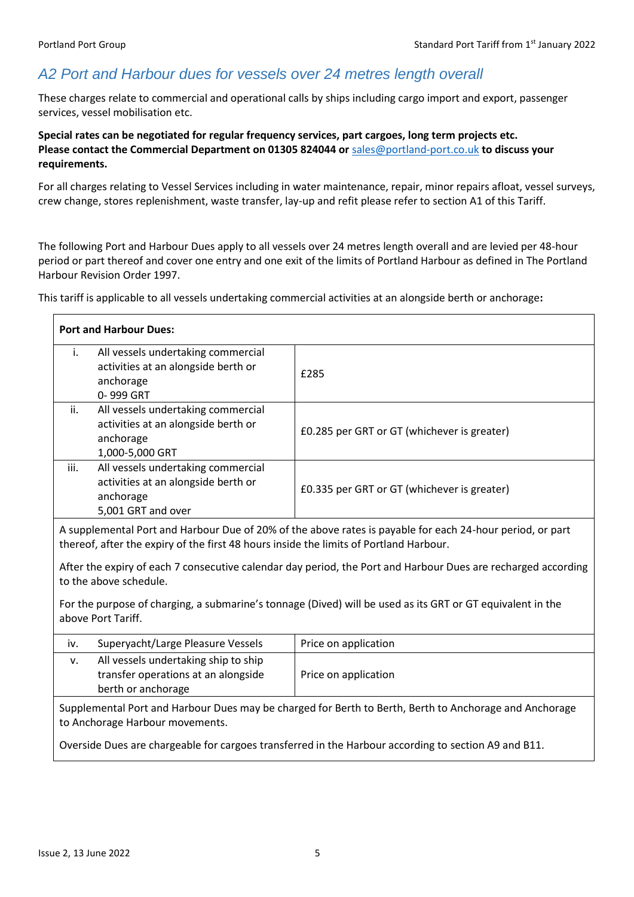## <span id="page-5-0"></span>*A2 Port and Harbour dues for vessels over 24 metres length overall*

These charges relate to commercial and operational calls by ships including cargo import and export, passenger services, vessel mobilisation etc.

**Special rates can be negotiated for regular frequency services, part cargoes, long term projects etc. Please contact the Commercial Department on 01305 824044 or** [sales@portland-port.co.uk](mailto:sales@portland-port.co.uk) **to discuss your requirements.**

For all charges relating to Vessel Services including in water maintenance, repair, minor repairs afloat, vessel surveys, crew change, stores replenishment, waste transfer, lay-up and refit please refer to section A1 of this Tariff.

The following Port and Harbour Dues apply to all vessels over 24 metres length overall and are levied per 48-hour period or part thereof and cover one entry and one exit of the limits of Portland Harbour as defined in The Portland Harbour Revision Order 1997.

This tariff is applicable to all vessels undertaking commercial activities at an alongside berth or anchorage**:**

<span id="page-5-1"></span>

| <b>Port and Harbour Dues:</b>                                                                                                                                                                       |                                             |  |
|-----------------------------------------------------------------------------------------------------------------------------------------------------------------------------------------------------|---------------------------------------------|--|
| All vessels undertaking commercial<br>i.<br>activities at an alongside berth or<br>anchorage<br>0-999 GRT                                                                                           | £285                                        |  |
| All vessels undertaking commercial<br>ii.<br>activities at an alongside berth or<br>anchorage<br>1,000-5,000 GRT                                                                                    | £0.285 per GRT or GT (whichever is greater) |  |
| All vessels undertaking commercial<br>iii.<br>activities at an alongside berth or<br>anchorage<br>5,001 GRT and over                                                                                | £0.335 per GRT or GT (whichever is greater) |  |
| A supplemental Port and Harbour Due of 20% of the above rates is payable for each 24-hour period, or part<br>thereof, after the expiry of the first 48 hours inside the limits of Portland Harbour. |                                             |  |
| After the expiry of each 7 consecutive calendar day period, the Port and Harbour Dues are recharged according<br>to the above schedule.                                                             |                                             |  |
| For the purpose of charging, a submarine's tonnage (Dived) will be used as its GRT or GT equivalent in the<br>above Port Tariff.                                                                    |                                             |  |
| Superyacht/Large Pleasure Vessels<br>iv.                                                                                                                                                            | Price on application                        |  |
| All vessels undertaking ship to ship<br>v.<br>transfer operations at an alongside<br>berth or anchorage                                                                                             | Price on application                        |  |
| Supplemental Port and Harbour Dues may be charged for Berth to Berth, Berth to Anchorage and Anchorage<br>to Anchorage Harbour movements.                                                           |                                             |  |
| Overside Dues are chargeable for cargoes transferred in the Harbour according to section A9 and B11.                                                                                                |                                             |  |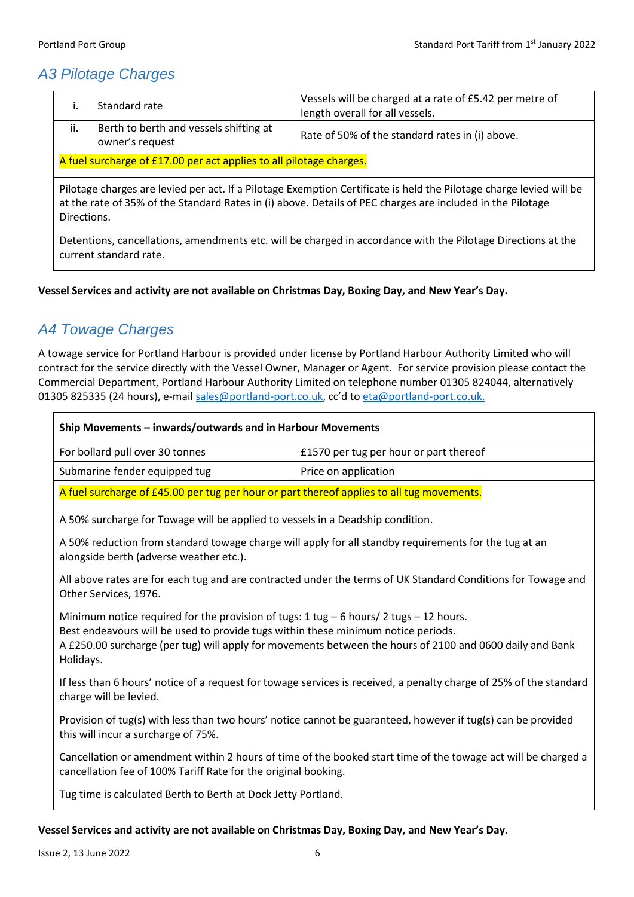## *A3 Pilotage Charges*

|                                                                    | Standard rate                                             | Vessels will be charged at a rate of £5.42 per metre of<br>length overall for all vessels. |
|--------------------------------------------------------------------|-----------------------------------------------------------|--------------------------------------------------------------------------------------------|
| ii.                                                                | Berth to berth and vessels shifting at<br>owner's request | Rate of 50% of the standard rates in (i) above.                                            |
| A fuel surcharge of £17.00 per act applies to all pilotage charges |                                                           |                                                                                            |

A fuel surcharge of £17.00 per act applies to all pilotage charges.

Pilotage charges are levied per act. If a Pilotage Exemption Certificate is held the Pilotage charge levied will be at the rate of 35% of the Standard Rates in (i) above. Details of PEC charges are included in the Pilotage Directions.

Detentions, cancellations, amendments etc. will be charged in accordance with the Pilotage Directions at the current standard rate.

**Vessel Services and activity are not available on Christmas Day, Boxing Day, and New Year's Day.**

## <span id="page-6-0"></span>*A4 Towage Charges*

A towage service for Portland Harbour is provided under license by Portland Harbour Authority Limited who will contract for the service directly with the Vessel Owner, Manager or Agent. For service provision please contact the Commercial Department, Portland Harbour Authority Limited on telephone number 01305 824044, alternatively 01305 825335 (24 hours), e-mail [sales@portland-port.co.uk,](mailto:sales@portland-port.co.uk;%20eta@portland-port.co.uk) cc'd to [eta@portland-port.co.uk.](file:///C:/Users/fotti/AppData/Roaming/Microsoft/Word/eta@portland-port.co.uk)

| Ship Movements - inwards/outwards and in Harbour Movements                                                                                                                                                                                                                                                                              |                                        |  |
|-----------------------------------------------------------------------------------------------------------------------------------------------------------------------------------------------------------------------------------------------------------------------------------------------------------------------------------------|----------------------------------------|--|
| For bollard pull over 30 tonnes                                                                                                                                                                                                                                                                                                         | £1570 per tug per hour or part thereof |  |
| Submarine fender equipped tug                                                                                                                                                                                                                                                                                                           | Price on application                   |  |
| A fuel surcharge of £45.00 per tug per hour or part thereof applies to all tug movements.                                                                                                                                                                                                                                               |                                        |  |
| A 50% surcharge for Towage will be applied to vessels in a Deadship condition.                                                                                                                                                                                                                                                          |                                        |  |
| A 50% reduction from standard towage charge will apply for all standby requirements for the tug at an<br>alongside berth (adverse weather etc.).                                                                                                                                                                                        |                                        |  |
| All above rates are for each tug and are contracted under the terms of UK Standard Conditions for Towage and<br>Other Services, 1976.                                                                                                                                                                                                   |                                        |  |
| Minimum notice required for the provision of tugs: $1 \text{ tug} - 6 \text{ hours} / 2 \text{ tugs} - 12 \text{ hours}.$<br>Best endeavours will be used to provide tugs within these minimum notice periods.<br>A £250.00 surcharge (per tug) will apply for movements between the hours of 2100 and 0600 daily and Bank<br>Holidays. |                                        |  |
| If less than 6 hours' notice of a request for towage services is received, a penalty charge of 25% of the standard<br>charge will be levied.                                                                                                                                                                                            |                                        |  |
| Provision of tug(s) with less than two hours' notice cannot be guaranteed, however if tug(s) can be provided<br>this will incur a surcharge of 75%.                                                                                                                                                                                     |                                        |  |
| Cancellation or amendment within 2 hours of time of the booked start time of the towage act will be charged a<br>cancellation fee of 100% Tariff Rate for the original booking.                                                                                                                                                         |                                        |  |
| Tug time is calculated Berth to Berth at Dock Jetty Portland.                                                                                                                                                                                                                                                                           |                                        |  |

#### **Vessel Services and activity are not available on Christmas Day, Boxing Day, and New Year's Day.**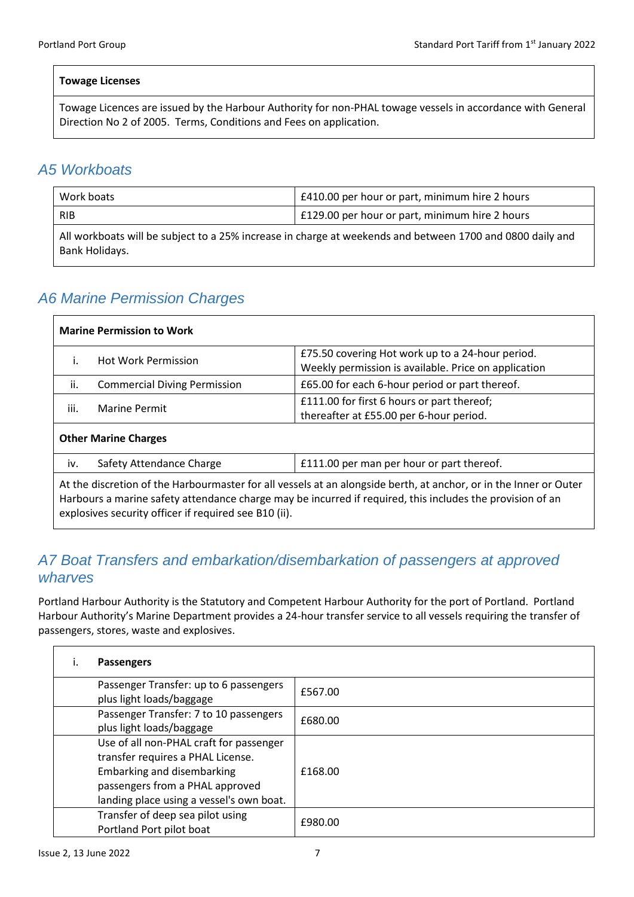#### **Towage Licenses**

Towage Licences are issued by the Harbour Authority for non-PHAL towage vessels in accordance with General Direction No 2 of 2005. Terms, Conditions and Fees on application.

#### <span id="page-7-0"></span>*A5 Workboats*

| Work boats                                                                                                                  | £410.00 per hour or part, minimum hire 2 hours |  |
|-----------------------------------------------------------------------------------------------------------------------------|------------------------------------------------|--|
| <b>RIB</b>                                                                                                                  | £129.00 per hour or part, minimum hire 2 hours |  |
| All workboats will be subject to a 25% increase in charge at weekends and between 1700 and 0800 daily and<br>Bank Holidays. |                                                |  |

## <span id="page-7-1"></span>*A6 Marine Permission Charges*

| <b>Marine Permission to Work</b>                                                                                                                                                                                                                                                        |                                     |                                                                                                          |
|-----------------------------------------------------------------------------------------------------------------------------------------------------------------------------------------------------------------------------------------------------------------------------------------|-------------------------------------|----------------------------------------------------------------------------------------------------------|
|                                                                                                                                                                                                                                                                                         | <b>Hot Work Permission</b>          | £75.50 covering Hot work up to a 24-hour period.<br>Weekly permission is available. Price on application |
| ii.                                                                                                                                                                                                                                                                                     | <b>Commercial Diving Permission</b> | £65.00 for each 6-hour period or part thereof.                                                           |
| iii.                                                                                                                                                                                                                                                                                    | <b>Marine Permit</b>                | £111.00 for first 6 hours or part thereof;<br>thereafter at £55.00 per 6-hour period.                    |
| <b>Other Marine Charges</b>                                                                                                                                                                                                                                                             |                                     |                                                                                                          |
| iv.                                                                                                                                                                                                                                                                                     | Safety Attendance Charge            | £111.00 per man per hour or part thereof.                                                                |
| At the discretion of the Harbourmaster for all vessels at an alongside berth, at anchor, or in the Inner or Outer<br>Harbours a marine safety attendance charge may be incurred if required, this includes the provision of an<br>explosives security officer if required see B10 (ii). |                                     |                                                                                                          |

## <span id="page-7-2"></span>*A7 Boat Transfers and embarkation/disembarkation of passengers at approved wharves*

Portland Harbour Authority is the Statutory and Competent Harbour Authority for the port of Portland. Portland Harbour Authority's Marine Department provides a 24-hour transfer service to all vessels requiring the transfer of passengers, stores, waste and explosives.

| <b>Passengers</b>                                                                                                                                                                         |         |
|-------------------------------------------------------------------------------------------------------------------------------------------------------------------------------------------|---------|
| Passenger Transfer: up to 6 passengers<br>plus light loads/baggage                                                                                                                        | £567.00 |
| Passenger Transfer: 7 to 10 passengers<br>plus light loads/baggage                                                                                                                        | £680.00 |
| Use of all non-PHAL craft for passenger<br>transfer requires a PHAL License.<br>Embarking and disembarking<br>passengers from a PHAL approved<br>landing place using a vessel's own boat. | £168.00 |
| Transfer of deep sea pilot using<br>Portland Port pilot boat                                                                                                                              | £980.00 |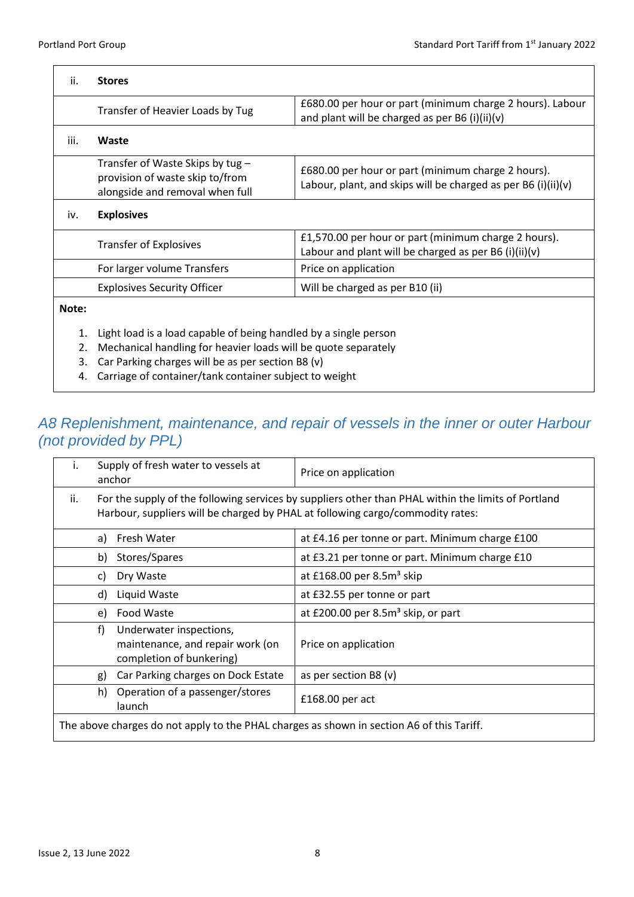$\overline{\mathbf{1}}$ 

 $\mathbf{r}$ 

| ii.   | <b>Stores</b>                                                                                          |                                                                                                                     |
|-------|--------------------------------------------------------------------------------------------------------|---------------------------------------------------------------------------------------------------------------------|
|       | Transfer of Heavier Loads by Tug                                                                       | £680.00 per hour or part (minimum charge 2 hours). Labour<br>and plant will be charged as per B6 (i)(ii)(v)         |
| iii.  | Waste                                                                                                  |                                                                                                                     |
|       | Transfer of Waste Skips by tug -<br>provision of waste skip to/from<br>alongside and removal when full | £680.00 per hour or part (minimum charge 2 hours).<br>Labour, plant, and skips will be charged as per B6 (i)(ii)(v) |
| iv.   | <b>Explosives</b>                                                                                      |                                                                                                                     |
|       | <b>Transfer of Explosives</b>                                                                          | £1,570.00 per hour or part (minimum charge 2 hours).<br>Labour and plant will be charged as per B6 $(i)(ii)(v)$     |
|       | For larger volume Transfers                                                                            | Price on application                                                                                                |
|       | <b>Explosives Security Officer</b>                                                                     | Will be charged as per B10 (ii)                                                                                     |
| Note: |                                                                                                        |                                                                                                                     |
| 1.    | Light load is a load capable of being handled by a single person                                       |                                                                                                                     |
| 2.    | Mechanical handling for heavier loads will be quote separately                                         |                                                                                                                     |
| 3.    | Car Parking charges will be as per section B8 (v)                                                      |                                                                                                                     |
| 4.    | Carriage of container/tank container subject to weight                                                 |                                                                                                                     |

## <span id="page-8-0"></span>*A8 Replenishment, maintenance, and repair of vessels in the inner or outer Harbour (not provided by PPL)*

| Ι.                                                                                        | Supply of fresh water to vessels at<br>anchor                                                                                                                                         | Price on application                            |
|-------------------------------------------------------------------------------------------|---------------------------------------------------------------------------------------------------------------------------------------------------------------------------------------|-------------------------------------------------|
| ii.                                                                                       | For the supply of the following services by suppliers other than PHAL within the limits of Portland<br>Harbour, suppliers will be charged by PHAL at following cargo/commodity rates: |                                                 |
|                                                                                           | Fresh Water<br>a)                                                                                                                                                                     | at £4.16 per tonne or part. Minimum charge £100 |
|                                                                                           | Stores/Spares<br>b)                                                                                                                                                                   | at £3.21 per tonne or part. Minimum charge £10  |
|                                                                                           | Dry Waste<br>C)                                                                                                                                                                       | at £168.00 per 8.5m <sup>3</sup> skip           |
|                                                                                           | Liquid Waste<br>d)                                                                                                                                                                    | at £32.55 per tonne or part                     |
|                                                                                           | Food Waste<br>e)                                                                                                                                                                      | at £200.00 per $8.5m3$ skip, or part            |
|                                                                                           | f)<br>Underwater inspections,<br>maintenance, and repair work (on<br>completion of bunkering)                                                                                         | Price on application                            |
|                                                                                           | Car Parking charges on Dock Estate<br>g)                                                                                                                                              | as per section B8 $(v)$                         |
|                                                                                           | Operation of a passenger/stores<br>h)<br>launch                                                                                                                                       | $£168.00$ per act                               |
| The above charges do not apply to the PHAL charges as shown in section A6 of this Tariff. |                                                                                                                                                                                       |                                                 |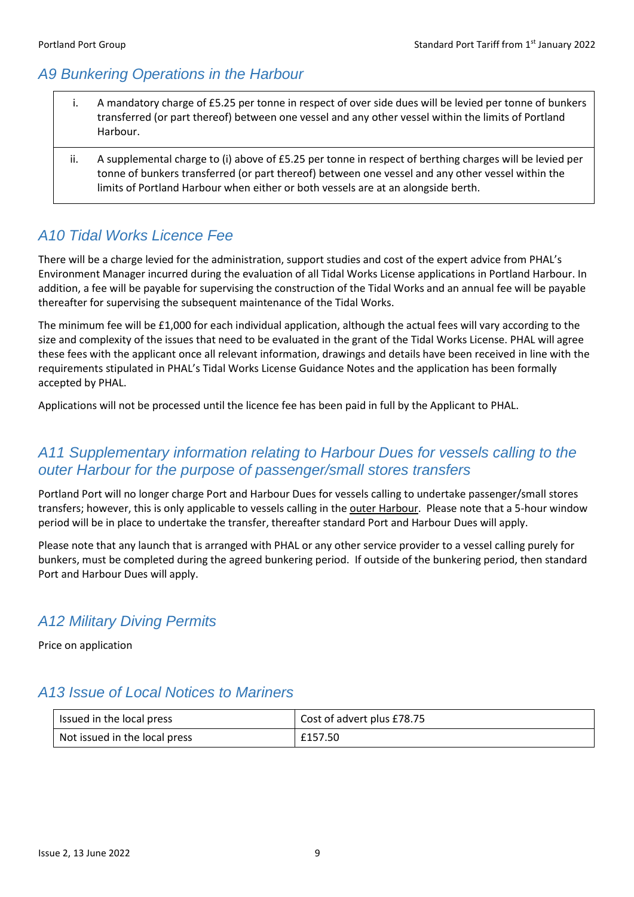## <span id="page-9-0"></span>*A9 Bunkering Operations in the Harbour*

- i. A mandatory charge of £5.25 per tonne in respect of over side dues will be levied per tonne of bunkers transferred (or part thereof) between one vessel and any other vessel within the limits of Portland Harbour.
- ii. A supplemental charge to (i) above of £5.25 per tonne in respect of berthing charges will be levied per tonne of bunkers transferred (or part thereof) between one vessel and any other vessel within the limits of Portland Harbour when either or both vessels are at an alongside berth.

## <span id="page-9-1"></span>*A10 Tidal Works Licence Fee*

There will be a charge levied for the administration, support studies and cost of the expert advice from PHAL's Environment Manager incurred during the evaluation of all Tidal Works License applications in Portland Harbour. In addition, a fee will be payable for supervising the construction of the Tidal Works and an annual fee will be payable thereafter for supervising the subsequent maintenance of the Tidal Works.

The minimum fee will be £1,000 for each individual application, although the actual fees will vary according to the size and complexity of the issues that need to be evaluated in the grant of the Tidal Works License. PHAL will agree these fees with the applicant once all relevant information, drawings and details have been received in line with the requirements stipulated in PHAL's Tidal Works License Guidance Notes and the application has been formally accepted by PHAL.

Applications will not be processed until the licence fee has been paid in full by the Applicant to PHAL.

#### <span id="page-9-2"></span>*A11 Supplementary information relating to Harbour Dues for vessels calling to the outer Harbour for the purpose of passenger/small stores transfers*

Portland Port will no longer charge Port and Harbour Dues for vessels calling to undertake passenger/small stores transfers; however, this is only applicable to vessels calling in the outer Harbour. Please note that a 5-hour window period will be in place to undertake the transfer, thereafter standard Port and Harbour Dues will apply.

Please note that any launch that is arranged with PHAL or any other service provider to a vessel calling purely for bunkers, must be completed during the agreed bunkering period. If outside of the bunkering period, then standard Port and Harbour Dues will apply.

## <span id="page-9-3"></span>*A12 Military Diving Permits*

Price on application

#### <span id="page-9-4"></span>*A13 Issue of Local Notices to Mariners*

<span id="page-9-5"></span>

| Issued in the local press     | Cost of advert plus £78.75 |
|-------------------------------|----------------------------|
| Not issued in the local press | £157.50                    |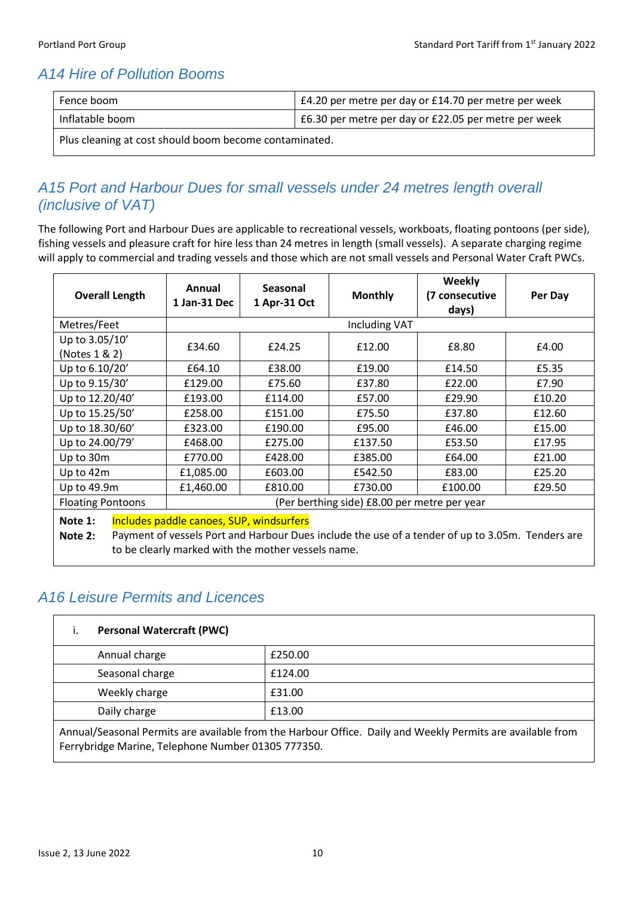## *A14 Hire of Pollution Booms*

| Fence boom                                             | £4.20 per metre per day or £14.70 per metre per week |  |
|--------------------------------------------------------|------------------------------------------------------|--|
| Inflatable boom                                        | £6.30 per metre per day or £22.05 per metre per week |  |
| Plus cleaning at cost should boom become contaminated. |                                                      |  |

#### us cleaning at cost should boom become contaminated

#### <span id="page-10-0"></span>*A15 Port and Harbour Dues for small vessels under 24 metres length overall (inclusive of VAT)*

The following Port and Harbour Dues are applicable to recreational vessels, workboats, floating pontoons (per side), fishing vessels and pleasure craft for hire less than 24 metres in length (small vessels). A separate charging regime will apply to commercial and trading vessels and those which are not small vessels and Personal Water Craft PWCs.

| <b>Overall Length</b>                                                                                                                                                                                                      | Annual<br>1 Jan-31 Dec | Seasonal<br>1 Apr-31 Oct | <b>Monthly</b>       | Weekly<br>(7 consecutive<br>days) | Per Day |
|----------------------------------------------------------------------------------------------------------------------------------------------------------------------------------------------------------------------------|------------------------|--------------------------|----------------------|-----------------------------------|---------|
| Metres/Feet                                                                                                                                                                                                                |                        |                          | <b>Including VAT</b> |                                   |         |
| Up to 3.05/10'<br>(Notes 1 & 2)                                                                                                                                                                                            | £34.60                 | £24.25                   | £12.00               | £8.80                             | £4.00   |
| Up to 6.10/20'                                                                                                                                                                                                             | £64.10                 | £38.00                   | £19.00               | £14.50                            | £5.35   |
| Up to 9.15/30'                                                                                                                                                                                                             | £129.00                | £75.60                   | £37.80               | £22.00                            | £7.90   |
| Up to 12.20/40'                                                                                                                                                                                                            | £193.00                | £114.00                  | £57.00               | £29.90                            | £10.20  |
| Up to 15.25/50'                                                                                                                                                                                                            | £258.00                | £151.00                  | £75.50               | £37.80                            | £12.60  |
| Up to 18.30/60'                                                                                                                                                                                                            | £323.00                | £190.00                  | £95.00               | £46.00                            | £15.00  |
| Up to 24.00/79'                                                                                                                                                                                                            | £468.00                | £275.00                  | £137.50              | £53.50                            | £17.95  |
| Up to 30m                                                                                                                                                                                                                  | £770.00                | £428.00                  | £385.00              | £64.00                            | £21.00  |
| Up to 42m                                                                                                                                                                                                                  | £1,085.00              | £603.00                  | £542.50              | £83.00                            | £25.20  |
| Up to 49.9m                                                                                                                                                                                                                | £1,460.00              | £810.00                  | £730.00              | £100.00                           | £29.50  |
| <b>Floating Pontoons</b><br>(Per berthing side) £8.00 per metre per year                                                                                                                                                   |                        |                          |                      |                                   |         |
| Includes paddle canoes, SUP, windsurfers<br>Note 1:<br>Payment of vessels Port and Harbour Dues include the use of a tender of up to 3.05m. Tenders are<br>Note $2:$<br>to be clearly marked with the mother vessels name. |                        |                          |                      |                                   |         |

#### <span id="page-10-1"></span>*A16 Leisure Permits and Licences*

| <b>Personal Watercraft (PWC)</b>                                                                          |         |
|-----------------------------------------------------------------------------------------------------------|---------|
| Annual charge                                                                                             | £250.00 |
| Seasonal charge                                                                                           | £124.00 |
| Weekly charge                                                                                             | £31.00  |
| Daily charge                                                                                              | £13.00  |
| Annual/Seasonal Permits are available from the Harbour Office Daily and Weekly Permits are available from |         |

nal Permits are available from the Harbour Office. Daily and Weekly Permits are available from Ferrybridge Marine, Telephone Number 01305 777350.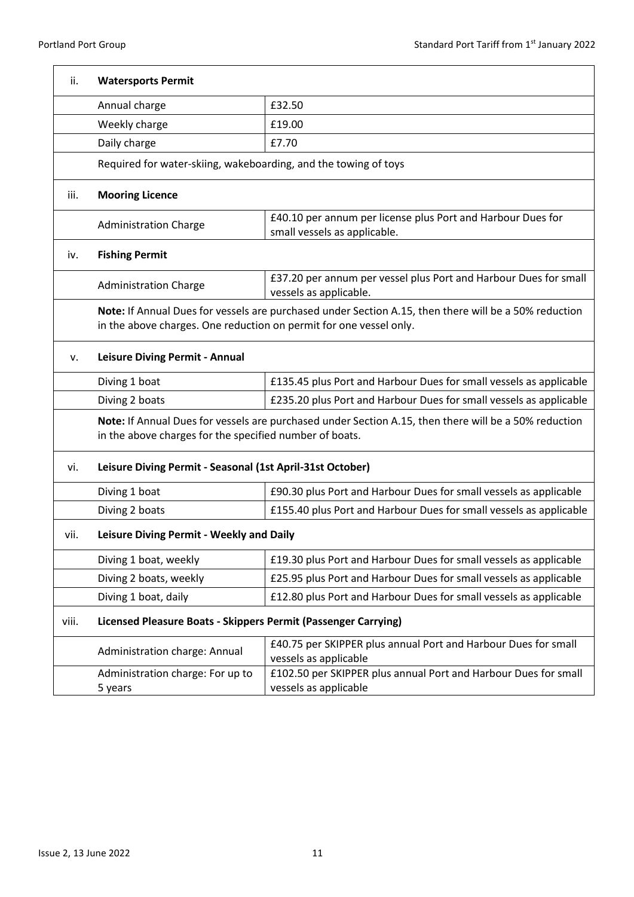| ii.   | <b>Watersports Permit</b>                                                                                                                                        |                                                                                                       |
|-------|------------------------------------------------------------------------------------------------------------------------------------------------------------------|-------------------------------------------------------------------------------------------------------|
|       | Annual charge                                                                                                                                                    | £32.50                                                                                                |
|       | Weekly charge                                                                                                                                                    | £19.00                                                                                                |
|       | Daily charge                                                                                                                                                     | £7.70                                                                                                 |
|       | Required for water-skiing, wakeboarding, and the towing of toys                                                                                                  |                                                                                                       |
| iii.  | <b>Mooring Licence</b>                                                                                                                                           |                                                                                                       |
|       | <b>Administration Charge</b>                                                                                                                                     | £40.10 per annum per license plus Port and Harbour Dues for<br>small vessels as applicable.           |
| iv.   | <b>Fishing Permit</b>                                                                                                                                            |                                                                                                       |
|       | <b>Administration Charge</b>                                                                                                                                     | £37.20 per annum per vessel plus Port and Harbour Dues for small<br>vessels as applicable.            |
|       | in the above charges. One reduction on permit for one vessel only.                                                                                               | Note: If Annual Dues for vessels are purchased under Section A.15, then there will be a 50% reduction |
| v.    | Leisure Diving Permit - Annual                                                                                                                                   |                                                                                                       |
|       | Diving 1 boat                                                                                                                                                    | £135.45 plus Port and Harbour Dues for small vessels as applicable                                    |
|       | Diving 2 boats                                                                                                                                                   | £235.20 plus Port and Harbour Dues for small vessels as applicable                                    |
|       | Note: If Annual Dues for vessels are purchased under Section A.15, then there will be a 50% reduction<br>in the above charges for the specified number of boats. |                                                                                                       |
| vi.   | Leisure Diving Permit - Seasonal (1st April-31st October)                                                                                                        |                                                                                                       |
|       | Diving 1 boat                                                                                                                                                    | £90.30 plus Port and Harbour Dues for small vessels as applicable                                     |
|       | Diving 2 boats                                                                                                                                                   | £155.40 plus Port and Harbour Dues for small vessels as applicable                                    |
| vii.  | Leisure Diving Permit - Weekly and Daily                                                                                                                         |                                                                                                       |
|       | Diving 1 boat, weekly                                                                                                                                            | £19.30 plus Port and Harbour Dues for small vessels as applicable                                     |
|       | Diving 2 boats, weekly                                                                                                                                           | £25.95 plus Port and Harbour Dues for small vessels as applicable                                     |
|       | Diving 1 boat, daily                                                                                                                                             | £12.80 plus Port and Harbour Dues for small vessels as applicable                                     |
| viii. | Licensed Pleasure Boats - Skippers Permit (Passenger Carrying)                                                                                                   |                                                                                                       |
|       | Administration charge: Annual                                                                                                                                    | £40.75 per SKIPPER plus annual Port and Harbour Dues for small<br>vessels as applicable               |
|       | Administration charge: For up to<br>5 years                                                                                                                      | £102.50 per SKIPPER plus annual Port and Harbour Dues for small<br>vessels as applicable              |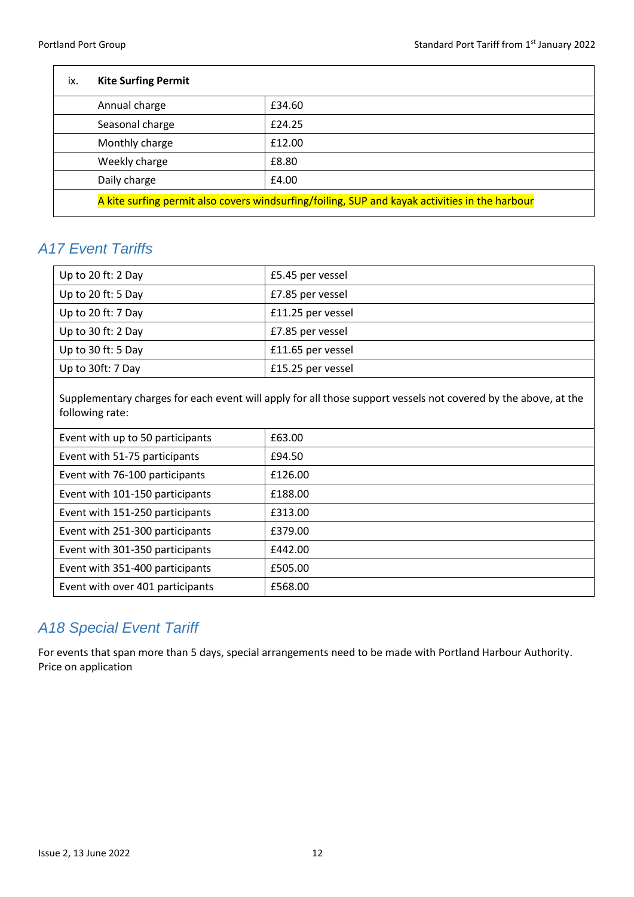| ix. | <b>Kite Surfing Permit</b> |                                                                                                |
|-----|----------------------------|------------------------------------------------------------------------------------------------|
|     | Annual charge              | £34.60                                                                                         |
|     | Seasonal charge            | £24.25                                                                                         |
|     | Monthly charge             | £12.00                                                                                         |
|     | Weekly charge              | £8.80                                                                                          |
|     | Daily charge               | £4.00                                                                                          |
|     |                            | A kite surfing permit also covers windsurfing/foiling, SUP and kayak activities in the harbour |

#### <span id="page-12-0"></span>*A17 Event Tariffs*

| Up to 20 ft: $2$ Day | £5.45 per vessel  |
|----------------------|-------------------|
| Up to 20 ft: 5 Day   | £7.85 per vessel  |
| Up to 20 ft: $7$ Day | £11.25 per vessel |
| Up to 30 ft: $2$ Day | £7.85 per vessel  |
| Up to 30 ft: $5$ Day | £11.65 per vessel |
| Up to 30ft: 7 Day    | £15.25 per vessel |

Supplementary charges for each event will apply for all those support vessels not covered by the above, at the following rate:

| Event with up to 50 participants | £63.00  |
|----------------------------------|---------|
| Event with 51-75 participants    | £94.50  |
| Event with 76-100 participants   | £126.00 |
| Event with 101-150 participants  | £188.00 |
| Event with 151-250 participants  | £313.00 |
| Event with 251-300 participants  | £379.00 |
| Event with 301-350 participants  | £442.00 |
| Event with 351-400 participants  | £505.00 |
| Event with over 401 participants | £568.00 |

## <span id="page-12-1"></span>*A18 Special Event Tariff*

For events that span more than 5 days, special arrangements need to be made with Portland Harbour Authority. Price on application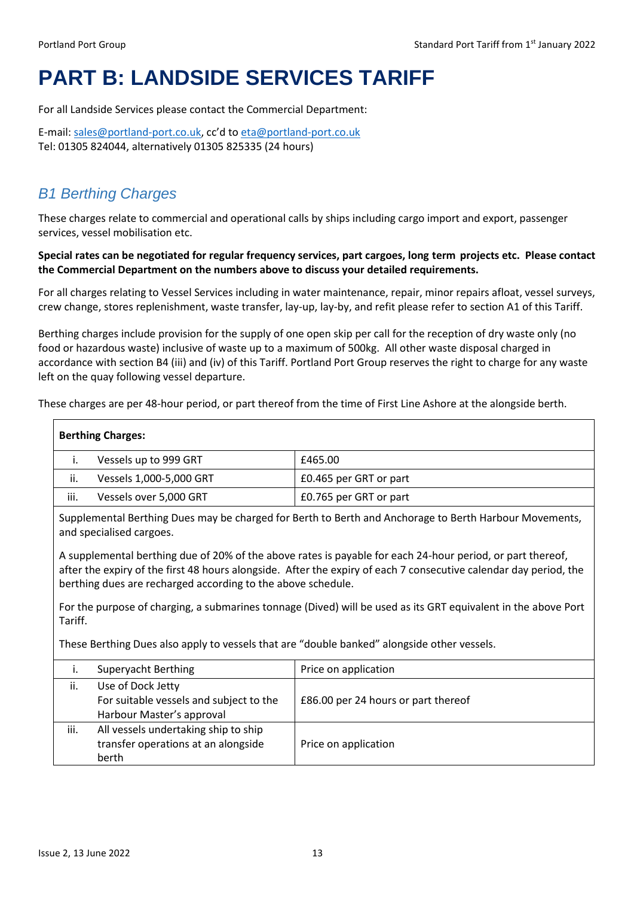# <span id="page-13-0"></span>**PART B: LANDSIDE SERVICES TARIFF**

For all Landside Services please contact the Commercial Department:

E-mail: [sales@portland-port.co.uk,](mailto:sales@portland-port.co.uk;%20eta@portland-port.co.uk) cc'd to [eta@portland-port.co.uk](file:///C:/Users/fotti/AppData/Roaming/Microsoft/Word/eta@portland-port.co.uk) Tel: 01305 824044, alternatively 01305 825335 (24 hours)

## <span id="page-13-1"></span>*B1 Berthing Charges*

These charges relate to commercial and operational calls by ships including cargo import and export, passenger services, vessel mobilisation etc.

**Special rates can be negotiated for regular frequency services, part cargoes, long term projects etc. Please contact the Commercial Department on the numbers above to discuss your detailed requirements.**

For all charges relating to Vessel Services including in water maintenance, repair, minor repairs afloat, vessel surveys, crew change, stores replenishment, waste transfer, lay-up, lay-by, and refit please refer to section A1 of this Tariff.

Berthing charges include provision for the supply of one open skip per call for the reception of dry waste only (no food or hazardous waste) inclusive of waste up to a maximum of 500kg. All other waste disposal charged in accordance with section B4 (iii) and (iv) of this Tariff. Portland Port Group reserves the right to charge for any waste left on the quay following vessel departure.

These charges are per 48-hour period, or part thereof from the time of First Line Ashore at the alongside berth.

| <b>Berthing Charges:</b>                                                                                                  |                                                                                                                                                                                                                                                                                                 |                                     |  |
|---------------------------------------------------------------------------------------------------------------------------|-------------------------------------------------------------------------------------------------------------------------------------------------------------------------------------------------------------------------------------------------------------------------------------------------|-------------------------------------|--|
| i.                                                                                                                        | Vessels up to 999 GRT                                                                                                                                                                                                                                                                           | £465.00                             |  |
| ii.                                                                                                                       | Vessels 1,000-5,000 GRT                                                                                                                                                                                                                                                                         | £0.465 per GRT or part              |  |
| iii.                                                                                                                      | Vessels over 5,000 GRT                                                                                                                                                                                                                                                                          | £0.765 per GRT or part              |  |
|                                                                                                                           | Supplemental Berthing Dues may be charged for Berth to Berth and Anchorage to Berth Harbour Movements,<br>and specialised cargoes.                                                                                                                                                              |                                     |  |
|                                                                                                                           | A supplemental berthing due of 20% of the above rates is payable for each 24-hour period, or part thereof,<br>after the expiry of the first 48 hours alongside. After the expiry of each 7 consecutive calendar day period, the<br>berthing dues are recharged according to the above schedule. |                                     |  |
| For the purpose of charging, a submarines tonnage (Dived) will be used as its GRT equivalent in the above Port<br>Tariff. |                                                                                                                                                                                                                                                                                                 |                                     |  |
|                                                                                                                           | These Berthing Dues also apply to vessels that are "double banked" alongside other vessels.                                                                                                                                                                                                     |                                     |  |
| İ.                                                                                                                        | Superyacht Berthing                                                                                                                                                                                                                                                                             | Price on application                |  |
| ii.                                                                                                                       | Use of Dock Jetty<br>For suitable vessels and subject to the<br>Harbour Master's approval                                                                                                                                                                                                       | £86.00 per 24 hours or part thereof |  |
| iii.                                                                                                                      | All vessels undertaking ship to ship<br>transfer operations at an alongside<br>berth                                                                                                                                                                                                            | Price on application                |  |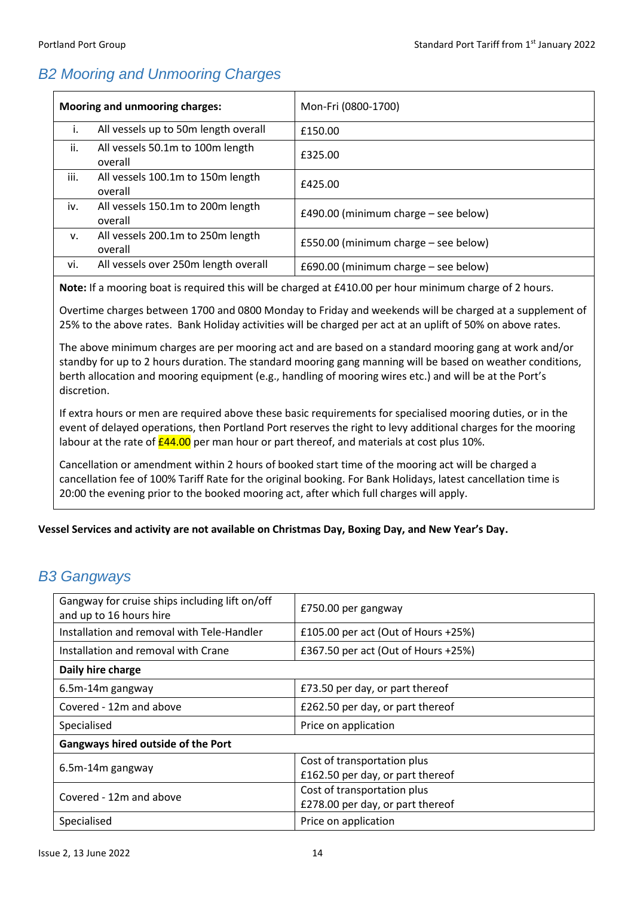## <span id="page-14-0"></span>*B2 Mooring and Unmooring Charges*

| <b>Mooring and unmooring charges:</b> |                                              | Mon-Fri (0800-1700)                  |
|---------------------------------------|----------------------------------------------|--------------------------------------|
| Ι.                                    | All vessels up to 50m length overall         | £150.00                              |
| ii.                                   | All vessels 50.1m to 100m length<br>overall  | £325.00                              |
| iii.                                  | All vessels 100.1m to 150m length<br>overall | £425.00                              |
| iv.                                   | All vessels 150.1m to 200m length<br>overall | £490.00 (minimum charge – see below) |
| v.                                    | All vessels 200.1m to 250m length<br>overall | £550.00 (minimum charge - see below) |
| vi.                                   | All vessels over 250m length overall         | £690.00 (minimum charge - see below) |

**Note:** If a mooring boat is required this will be charged at £410.00 per hour minimum charge of 2 hours.

Overtime charges between 1700 and 0800 Monday to Friday and weekends will be charged at a supplement of 25% to the above rates. Bank Holiday activities will be charged per act at an uplift of 50% on above rates.

The above minimum charges are per mooring act and are based on a standard mooring gang at work and/or standby for up to 2 hours duration. The standard mooring gang manning will be based on weather conditions, berth allocation and mooring equipment (e.g., handling of mooring wires etc.) and will be at the Port's discretion.

If extra hours or men are required above these basic requirements for specialised mooring duties, or in the event of delayed operations, then Portland Port reserves the right to levy additional charges for the mooring labour at the rate of  $\frac{244.00}{2}$  per man hour or part thereof, and materials at cost plus 10%.

Cancellation or amendment within 2 hours of booked start time of the mooring act will be charged a cancellation fee of 100% Tariff Rate for the original booking. For Bank Holidays, latest cancellation time is 20:00 the evening prior to the booked mooring act, after which full charges will apply.

#### **Vessel Services and activity are not available on Christmas Day, Boxing Day, and New Year's Day.**

#### <span id="page-14-1"></span>*B3 Gangways*

| Gangway for cruise ships including lift on/off<br>and up to 16 hours hire | £750.00 per gangway                 |  |
|---------------------------------------------------------------------------|-------------------------------------|--|
| Installation and removal with Tele-Handler                                | £105.00 per act (Out of Hours +25%) |  |
| Installation and removal with Crane                                       | £367.50 per act (Out of Hours +25%) |  |
| Daily hire charge                                                         |                                     |  |
| 6.5m-14m gangway                                                          | £73.50 per day, or part thereof     |  |
| Covered - 12m and above                                                   | £262.50 per day, or part thereof    |  |
| Specialised                                                               | Price on application                |  |
| <b>Gangways hired outside of the Port</b>                                 |                                     |  |
|                                                                           | Cost of transportation plus         |  |
| 6.5m-14m gangway                                                          | £162.50 per day, or part thereof    |  |
| Covered - 12m and above                                                   | Cost of transportation plus         |  |
|                                                                           | £278.00 per day, or part thereof    |  |
| Specialised                                                               | Price on application                |  |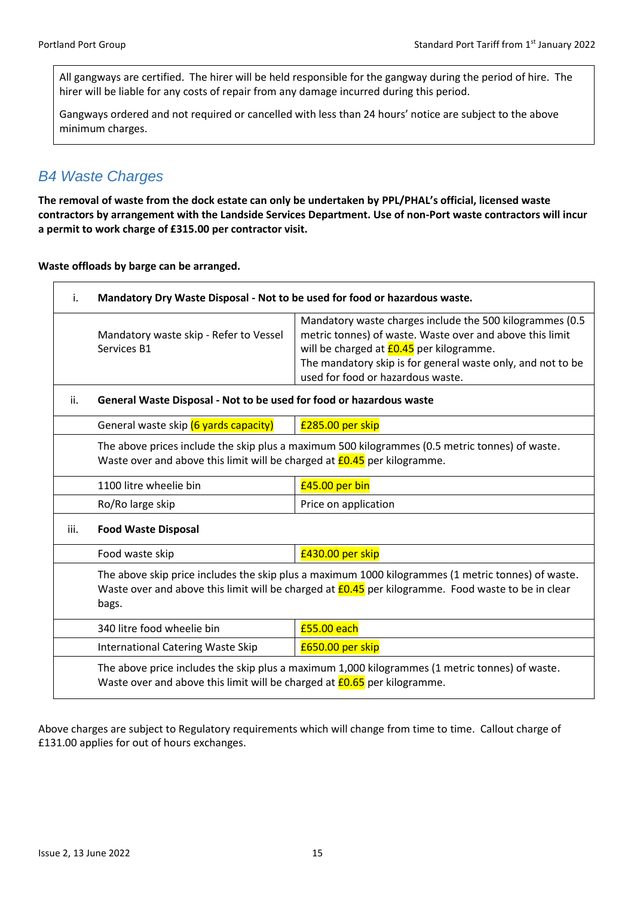All gangways are certified. The hirer will be held responsible for the gangway during the period of hire. The hirer will be liable for any costs of repair from any damage incurred during this period.

Gangways ordered and not required or cancelled with less than 24 hours' notice are subject to the above minimum charges.

#### <span id="page-15-0"></span>*B4 Waste Charges*

**The removal of waste from the dock estate can only be undertaken by PPL/PHAL's official, licensed waste contractors by arrangement with the Landside Services Department. Use of non-Port waste contractors will incur a permit to work charge of £315.00 per contractor visit.**

**Waste offloads by barge can be arranged.**

| i.   | Mandatory Dry Waste Disposal - Not to be used for food or hazardous waste.                                                                                                                                               |                                                                                                                                                                                                                                                                             |
|------|--------------------------------------------------------------------------------------------------------------------------------------------------------------------------------------------------------------------------|-----------------------------------------------------------------------------------------------------------------------------------------------------------------------------------------------------------------------------------------------------------------------------|
|      | Mandatory waste skip - Refer to Vessel<br>Services B1                                                                                                                                                                    | Mandatory waste charges include the 500 kilogrammes (0.5<br>metric tonnes) of waste. Waste over and above this limit<br>will be charged at <b>£0.45</b> per kilogramme.<br>The mandatory skip is for general waste only, and not to be<br>used for food or hazardous waste. |
| ii.  | General Waste Disposal - Not to be used for food or hazardous waste                                                                                                                                                      |                                                                                                                                                                                                                                                                             |
|      | General waste skip (6 yards capacity)                                                                                                                                                                                    | £285.00 per skip                                                                                                                                                                                                                                                            |
|      | The above prices include the skip plus a maximum 500 kilogrammes (0.5 metric tonnes) of waste.<br>Waste over and above this limit will be charged at <b>£0.45</b> per kilogramme.                                        |                                                                                                                                                                                                                                                                             |
|      | 1100 litre wheelie bin                                                                                                                                                                                                   | £45.00 per bin                                                                                                                                                                                                                                                              |
|      | Ro/Ro large skip                                                                                                                                                                                                         | Price on application                                                                                                                                                                                                                                                        |
| iii. | <b>Food Waste Disposal</b>                                                                                                                                                                                               |                                                                                                                                                                                                                                                                             |
|      | Food waste skip                                                                                                                                                                                                          | £430.00 per skip                                                                                                                                                                                                                                                            |
|      | The above skip price includes the skip plus a maximum 1000 kilogrammes (1 metric tonnes) of waste.<br>Waste over and above this limit will be charged at <b>£0.45</b> per kilogramme. Food waste to be in clear<br>bags. |                                                                                                                                                                                                                                                                             |
|      | 340 litre food wheelie bin                                                                                                                                                                                               | £55.00 each                                                                                                                                                                                                                                                                 |
|      | <b>International Catering Waste Skip</b>                                                                                                                                                                                 | £650.00 per skip                                                                                                                                                                                                                                                            |
|      | The above price includes the skip plus a maximum 1,000 kilogrammes (1 metric tonnes) of waste.<br>Waste over and above this limit will be charged at <b>£0.65</b> per kilogramme.                                        |                                                                                                                                                                                                                                                                             |

Above charges are subject to Regulatory requirements which will change from time to time. Callout charge of £131.00 applies for out of hours exchanges.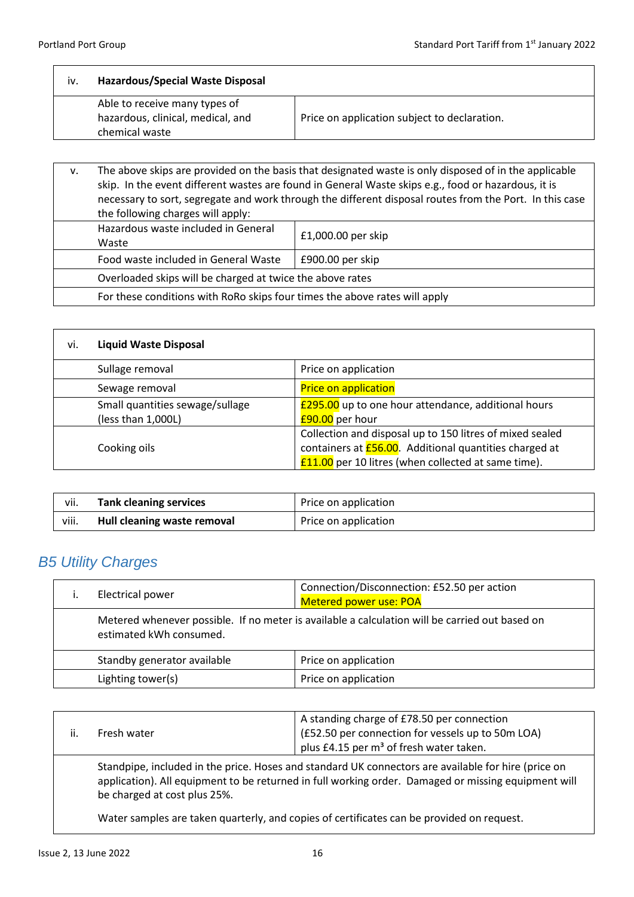$\overline{\phantom{a}}$ 

| Able to receive many types of<br>hazardous, clinical, medical, and<br>chemical waste | Price on application subject to declaration. |
|--------------------------------------------------------------------------------------|----------------------------------------------|

| v. | The above skips are provided on the basis that designated waste is only disposed of in the applicable<br>skip. In the event different wastes are found in General Waste skips e.g., food or hazardous, it is<br>necessary to sort, segregate and work through the different disposal routes from the Port. In this case<br>the following charges will apply: |                      |
|----|--------------------------------------------------------------------------------------------------------------------------------------------------------------------------------------------------------------------------------------------------------------------------------------------------------------------------------------------------------------|----------------------|
|    | Hazardous waste included in General<br>Waste                                                                                                                                                                                                                                                                                                                 | $£1,000.00$ per skip |
|    | Food waste included in General Waste                                                                                                                                                                                                                                                                                                                         | £900.00 per skip     |
|    | Overloaded skips will be charged at twice the above rates                                                                                                                                                                                                                                                                                                    |                      |
|    | For these conditions with RoRo skips four times the above rates will apply                                                                                                                                                                                                                                                                                   |                      |

| <b>Liquid Waste Disposal</b><br>vi.                   |                                                                                                                                                                              |
|-------------------------------------------------------|------------------------------------------------------------------------------------------------------------------------------------------------------------------------------|
| Sullage removal                                       | Price on application                                                                                                                                                         |
| Sewage removal                                        | <b>Price on application</b>                                                                                                                                                  |
| Small quantities sewage/sullage<br>(less than 1,000L) | <b>£295.00</b> up to one hour attendance, additional hours<br>£90.00 per hour                                                                                                |
| Cooking oils                                          | Collection and disposal up to 150 litres of mixed sealed<br>containers at $E$ 56.00. Additional quantities charged at<br>£11.00 per 10 litres (when collected at same time). |

| vii.  | <b>Tank cleaning services</b> | Price on application |
|-------|-------------------------------|----------------------|
| viii. | Hull cleaning waste removal   | Price on application |

## <span id="page-16-0"></span>*B5 Utility Charges*

| Electrical power                                                                                                          | Connection/Disconnection: £52.50 per action<br>Metered power use: POA |
|---------------------------------------------------------------------------------------------------------------------------|-----------------------------------------------------------------------|
| Metered whenever possible. If no meter is available a calculation will be carried out based on<br>estimated kWh consumed. |                                                                       |
| Standby generator available                                                                                               | Price on application                                                  |
| Lighting tower(s)                                                                                                         | Price on application                                                  |

| ji. | Fresh water                                                                                                                                                                                                                                | A standing charge of £78.50 per connection<br>(£52.50 per connection for vessels up to 50m LOA)<br>plus £4.15 per m <sup>3</sup> of fresh water taken. |
|-----|--------------------------------------------------------------------------------------------------------------------------------------------------------------------------------------------------------------------------------------------|--------------------------------------------------------------------------------------------------------------------------------------------------------|
|     | Standpipe, included in the price. Hoses and standard UK connectors are available for hire (price on<br>application). All equipment to be returned in full working order. Damaged or missing equipment will<br>be charged at cost plus 25%. |                                                                                                                                                        |

Water samples are taken quarterly, and copies of certificates can be provided on request.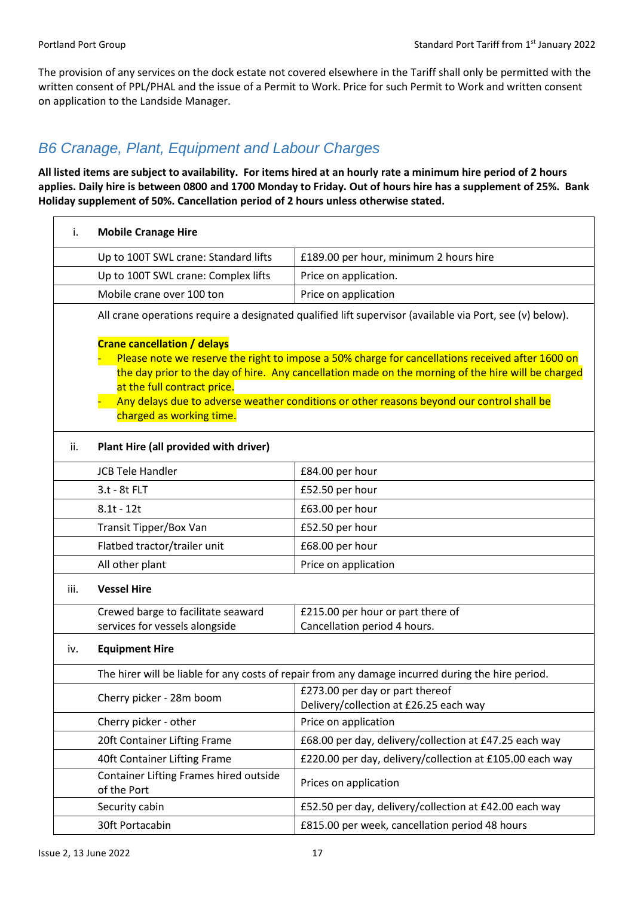The provision of any services on the dock estate not covered elsewhere in the Tariff shall only be permitted with the written consent of PPL/PHAL and the issue of a Permit to Work. Price for such Permit to Work and written consent on application to the Landside Manager.

#### <span id="page-17-0"></span>*B6 Cranage, Plant, Equipment and Labour Charges*

**All listed items are subject to availability. For items hired at an hourly rate a minimum hire period of 2 hours applies. Daily hire is between 0800 and 1700 Monday to Friday. Out of hours hire has a supplement of 25%. Bank Holiday supplement of 50%. Cancellation period of 2 hours unless otherwise stated.**

| i.   | <b>Mobile Cranage Hire</b>                                                                    |                                                                                                                                                                                                                                                                                                     |
|------|-----------------------------------------------------------------------------------------------|-----------------------------------------------------------------------------------------------------------------------------------------------------------------------------------------------------------------------------------------------------------------------------------------------------|
|      | Up to 100T SWL crane: Standard lifts                                                          | £189.00 per hour, minimum 2 hours hire                                                                                                                                                                                                                                                              |
|      | Up to 100T SWL crane: Complex lifts                                                           | Price on application.                                                                                                                                                                                                                                                                               |
|      | Mobile crane over 100 ton                                                                     | Price on application                                                                                                                                                                                                                                                                                |
|      |                                                                                               | All crane operations require a designated qualified lift supervisor (available via Port, see (v) below).                                                                                                                                                                                            |
|      | <b>Crane cancellation / delays</b><br>at the full contract price.<br>charged as working time. | Please note we reserve the right to impose a 50% charge for cancellations received after 1600 on<br>the day prior to the day of hire. Any cancellation made on the morning of the hire will be charged<br>Any delays due to adverse weather conditions or other reasons beyond our control shall be |
| ii.  | Plant Hire (all provided with driver)                                                         |                                                                                                                                                                                                                                                                                                     |
|      | <b>JCB Tele Handler</b>                                                                       | £84.00 per hour                                                                                                                                                                                                                                                                                     |
|      | 3.t - 8t FLT                                                                                  | £52.50 per hour                                                                                                                                                                                                                                                                                     |
|      | $8.1t - 12t$                                                                                  | £63.00 per hour                                                                                                                                                                                                                                                                                     |
|      | Transit Tipper/Box Van                                                                        | £52.50 per hour                                                                                                                                                                                                                                                                                     |
|      | Flatbed tractor/trailer unit                                                                  | £68.00 per hour                                                                                                                                                                                                                                                                                     |
|      | All other plant                                                                               | Price on application                                                                                                                                                                                                                                                                                |
| iii. | <b>Vessel Hire</b>                                                                            |                                                                                                                                                                                                                                                                                                     |
|      | Crewed barge to facilitate seaward                                                            | £215.00 per hour or part there of                                                                                                                                                                                                                                                                   |
|      | services for vessels alongside                                                                | Cancellation period 4 hours.                                                                                                                                                                                                                                                                        |
| iv.  | <b>Equipment Hire</b>                                                                         |                                                                                                                                                                                                                                                                                                     |
|      |                                                                                               | The hirer will be liable for any costs of repair from any damage incurred during the hire period.                                                                                                                                                                                                   |
|      | Cherry picker - 28m boom                                                                      | £273.00 per day or part thereof<br>Delivery/collection at £26.25 each way                                                                                                                                                                                                                           |
|      | Cherry picker - other                                                                         | Price on application                                                                                                                                                                                                                                                                                |
|      | 20ft Container Lifting Frame                                                                  | £68.00 per day, delivery/collection at £47.25 each way                                                                                                                                                                                                                                              |
|      | 40ft Container Lifting Frame                                                                  | £220.00 per day, delivery/collection at £105.00 each way                                                                                                                                                                                                                                            |
|      | Container Lifting Frames hired outside<br>of the Port                                         | Prices on application                                                                                                                                                                                                                                                                               |
|      | Security cabin                                                                                | £52.50 per day, delivery/collection at £42.00 each way                                                                                                                                                                                                                                              |
|      | 30ft Portacabin                                                                               | £815.00 per week, cancellation period 48 hours                                                                                                                                                                                                                                                      |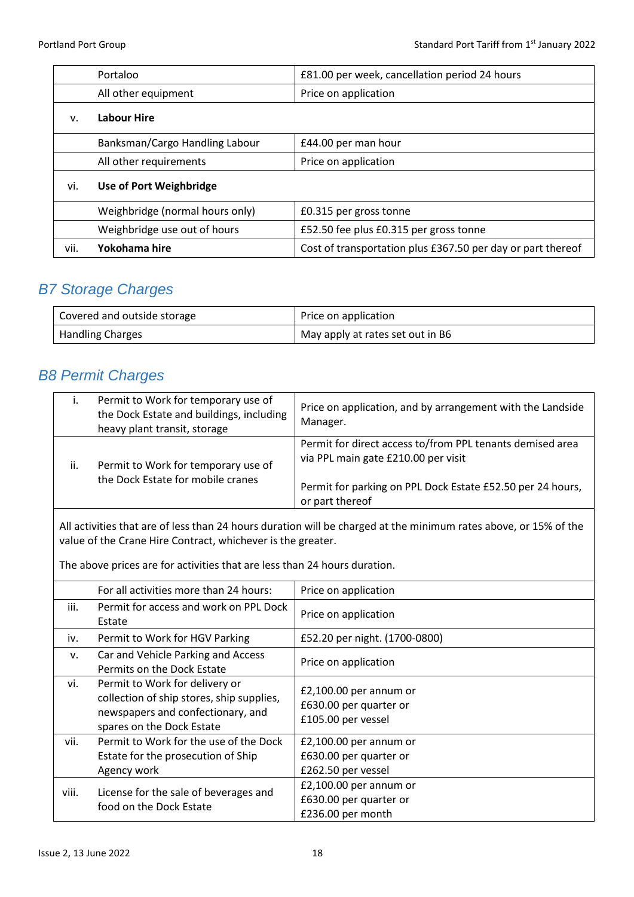|      | Portaloo                        | £81.00 per week, cancellation period 24 hours               |
|------|---------------------------------|-------------------------------------------------------------|
|      | All other equipment             | Price on application                                        |
| v.   | <b>Labour Hire</b>              |                                                             |
|      | Banksman/Cargo Handling Labour  | £44.00 per man hour                                         |
|      | All other requirements          | Price on application                                        |
| vi.  | <b>Use of Port Weighbridge</b>  |                                                             |
|      | Weighbridge (normal hours only) | £0.315 per gross tonne                                      |
|      | Weighbridge use out of hours    | £52.50 fee plus £0.315 per gross tonne                      |
| vii. | Yokohama hire                   | Cost of transportation plus £367.50 per day or part thereof |

## <span id="page-18-0"></span>*B7 Storage Charges*

| Covered and outside storage | Price on application             |
|-----------------------------|----------------------------------|
| <b>Handling Charges</b>     | May apply at rates set out in B6 |

#### <span id="page-18-1"></span>*B8 Permit Charges*

| $\mathbf{L}$ | Permit to Work for temporary use of<br>the Dock Estate and buildings, including<br>heavy plant transit, storage | Price on application, and by arrangement with the Landside<br>Manager.                                                                                                            |
|--------------|-----------------------------------------------------------------------------------------------------------------|-----------------------------------------------------------------------------------------------------------------------------------------------------------------------------------|
| ii.          | Permit to Work for temporary use of<br>the Dock Estate for mobile cranes                                        | Permit for direct access to/from PPL tenants demised area<br>via PPL main gate £210.00 per visit<br>Permit for parking on PPL Dock Estate £52.50 per 24 hours,<br>or part thereof |

All activities that are of less than 24 hours duration will be charged at the minimum rates above, or 15% of the value of the Crane Hire Contract, whichever is the greater.

The above prices are for activities that are less than 24 hours duration.

|       | For all activities more than 24 hours:                                                                                                        | Price on application                                                   |
|-------|-----------------------------------------------------------------------------------------------------------------------------------------------|------------------------------------------------------------------------|
| iii.  | Permit for access and work on PPL Dock<br>Estate                                                                                              | Price on application                                                   |
| iv.   | Permit to Work for HGV Parking                                                                                                                | £52.20 per night. (1700-0800)                                          |
| v.    | Car and Vehicle Parking and Access<br>Permits on the Dock Estate                                                                              | Price on application                                                   |
| vi.   | Permit to Work for delivery or<br>collection of ship stores, ship supplies,<br>newspapers and confectionary, and<br>spares on the Dock Estate | £2,100.00 per annum or<br>£630.00 per quarter or<br>£105.00 per vessel |
| vii.  | Permit to Work for the use of the Dock<br>Estate for the prosecution of Ship<br>Agency work                                                   | £2,100.00 per annum or<br>£630.00 per quarter or<br>£262.50 per vessel |
| viii. | License for the sale of beverages and<br>food on the Dock Estate                                                                              | £2,100.00 per annum or<br>£630.00 per quarter or<br>£236.00 per month  |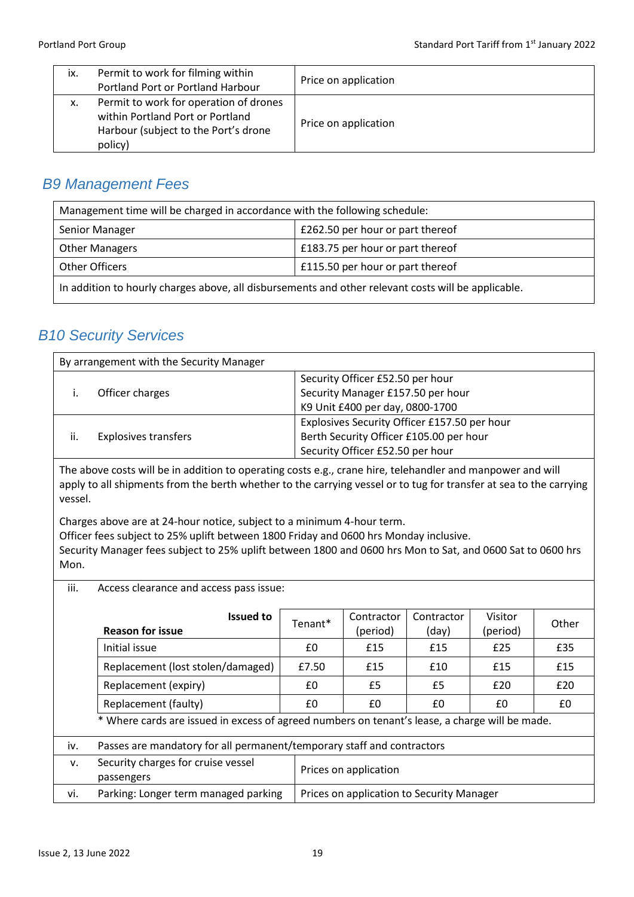| ix. | Permit to work for filming within<br>Portland Port or Portland Harbour                                                        | Price on application |
|-----|-------------------------------------------------------------------------------------------------------------------------------|----------------------|
| x.  | Permit to work for operation of drones<br>within Portland Port or Portland<br>Harbour (subject to the Port's drone<br>policy) | Price on application |

#### <span id="page-19-0"></span>*B9 Management Fees*

| Management time will be charged in accordance with the following schedule:                          |                                  |  |
|-----------------------------------------------------------------------------------------------------|----------------------------------|--|
| Senior Manager                                                                                      | £262.50 per hour or part thereof |  |
| <b>Other Managers</b>                                                                               | £183.75 per hour or part thereof |  |
| Other Officers                                                                                      | £115.50 per hour or part thereof |  |
| In addition to hourly charges above, all disbursements and other relevant costs will be applicable. |                                  |  |

## <span id="page-19-1"></span>*B10 Security Services*

| By arrangement with the Security Manager |                             |                                              |
|------------------------------------------|-----------------------------|----------------------------------------------|
|                                          | Officer charges             | Security Officer £52.50 per hour             |
|                                          |                             | Security Manager £157.50 per hour            |
|                                          |                             | K9 Unit £400 per day, 0800-1700              |
| ii.                                      | <b>Explosives transfers</b> | Explosives Security Officer £157.50 per hour |
|                                          |                             | Berth Security Officer £105.00 per hour      |
|                                          |                             | Security Officer £52.50 per hour             |

The above costs will be in addition to operating costs e.g., crane hire, telehandler and manpower and will apply to all shipments from the berth whether to the carrying vessel or to tug for transfer at sea to the carrying vessel.

Charges above are at 24-hour notice, subject to a minimum 4-hour term.

Officer fees subject to 25% uplift between 1800 Friday and 0600 hrs Monday inclusive.

Security Manager fees subject to 25% uplift between 1800 and 0600 hrs Mon to Sat, and 0600 Sat to 0600 hrs Mon.

iii. Access clearance and access pass issue:

|     | <b>Issued to</b><br><b>Reason for issue</b>                                                    | Tenant* | Contractor<br>(period)                    | Contractor<br>(day) | Visitor<br>(period) | Other |
|-----|------------------------------------------------------------------------------------------------|---------|-------------------------------------------|---------------------|---------------------|-------|
|     | Initial issue                                                                                  | £0      | £15                                       | £15                 | £25                 | £35   |
|     | Replacement (lost stolen/damaged)                                                              | £7.50   | £15                                       | £10                 | £15                 | £15   |
|     | Replacement (expiry)                                                                           | £0      | £5                                        | £5                  | £20                 | £20   |
|     | Replacement (faulty)                                                                           | £0      | £0                                        | £0                  | £0                  | £0    |
|     | * Where cards are issued in excess of agreed numbers on tenant's lease, a charge will be made. |         |                                           |                     |                     |       |
| iv. | Passes are mandatory for all permanent/temporary staff and contractors                         |         |                                           |                     |                     |       |
| v.  | Security charges for cruise vessel<br>passengers                                               |         | Prices on application                     |                     |                     |       |
| vi. | Parking: Longer term managed parking                                                           |         | Prices on application to Security Manager |                     |                     |       |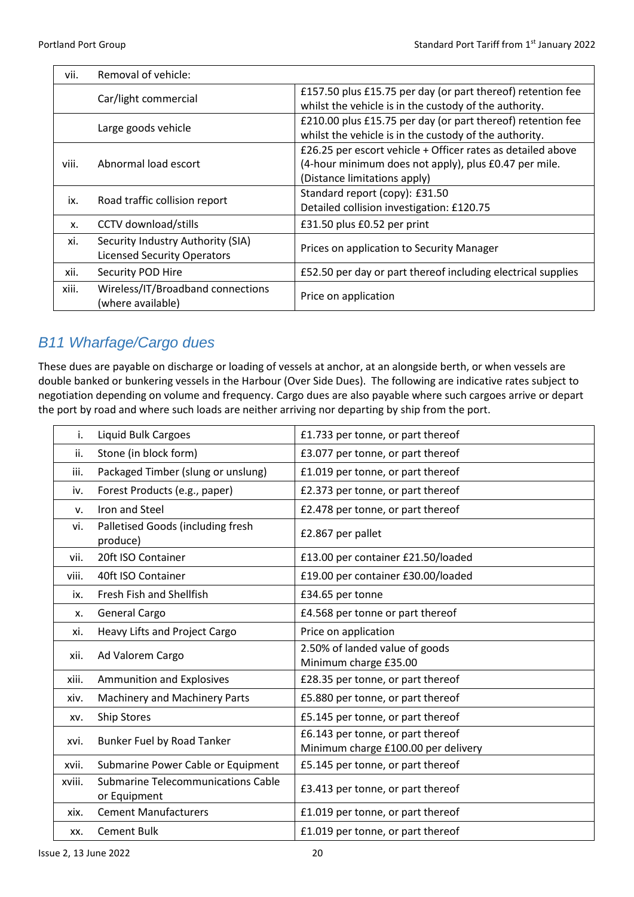Ē

| vii.  | Removal of vehicle:                                                     |                                                                                                                                                      |
|-------|-------------------------------------------------------------------------|------------------------------------------------------------------------------------------------------------------------------------------------------|
|       | Car/light commercial                                                    | £157.50 plus £15.75 per day (or part thereof) retention fee<br>whilst the vehicle is in the custody of the authority.                                |
|       | Large goods vehicle                                                     | £210.00 plus £15.75 per day (or part thereof) retention fee<br>whilst the vehicle is in the custody of the authority.                                |
| viii. | Abnormal load escort                                                    | £26.25 per escort vehicle + Officer rates as detailed above<br>(4-hour minimum does not apply), plus £0.47 per mile.<br>(Distance limitations apply) |
| ix.   | Road traffic collision report                                           | Standard report (copy): £31.50<br>Detailed collision investigation: £120.75                                                                          |
| Х.    | <b>CCTV</b> download/stills                                             | £31.50 plus £0.52 per print                                                                                                                          |
| xi.   | Security Industry Authority (SIA)<br><b>Licensed Security Operators</b> | Prices on application to Security Manager                                                                                                            |
| xii.  | Security POD Hire                                                       | £52.50 per day or part thereof including electrical supplies                                                                                         |
| xiii. | Wireless/IT/Broadband connections<br>(where available)                  | Price on application                                                                                                                                 |

## <span id="page-20-0"></span>*B11 Wharfage/Cargo dues*

These dues are payable on discharge or loading of vessels at anchor, at an alongside berth, or when vessels are double banked or bunkering vessels in the Harbour (Over Side Dues). The following are indicative rates subject to negotiation depending on volume and frequency. Cargo dues are also payable where such cargoes arrive or depart the port by road and where such loads are neither arriving nor departing by ship from the port.

| i.     | <b>Liquid Bulk Cargoes</b>                                | £1.733 per tonne, or part thereof                                        |
|--------|-----------------------------------------------------------|--------------------------------------------------------------------------|
| ii.    | Stone (in block form)                                     | £3.077 per tonne, or part thereof                                        |
| iii.   | Packaged Timber (slung or unslung)                        | £1.019 per tonne, or part thereof                                        |
| iv.    | Forest Products (e.g., paper)                             | £2.373 per tonne, or part thereof                                        |
| v.     | Iron and Steel                                            | £2.478 per tonne, or part thereof                                        |
| vi.    | Palletised Goods (including fresh<br>produce)             | £2.867 per pallet                                                        |
| vii.   | 20ft ISO Container                                        | £13.00 per container £21.50/loaded                                       |
| viii.  | 40ft ISO Container                                        | £19.00 per container £30.00/loaded                                       |
| ix.    | Fresh Fish and Shellfish                                  | £34.65 per tonne                                                         |
| x.     | General Cargo                                             | £4.568 per tonne or part thereof                                         |
| xi.    | Heavy Lifts and Project Cargo                             | Price on application                                                     |
| xii.   | Ad Valorem Cargo                                          | 2.50% of landed value of goods<br>Minimum charge £35.00                  |
| xiii.  | Ammunition and Explosives                                 | £28.35 per tonne, or part thereof                                        |
| xiv.   | <b>Machinery and Machinery Parts</b>                      | £5.880 per tonne, or part thereof                                        |
| XV.    | <b>Ship Stores</b>                                        | £5.145 per tonne, or part thereof                                        |
| xvi.   | Bunker Fuel by Road Tanker                                | £6.143 per tonne, or part thereof<br>Minimum charge £100.00 per delivery |
| xvii.  | Submarine Power Cable or Equipment                        | £5.145 per tonne, or part thereof                                        |
| xviii. | <b>Submarine Telecommunications Cable</b><br>or Equipment | £3.413 per tonne, or part thereof                                        |
| xix.   | <b>Cement Manufacturers</b>                               | £1.019 per tonne, or part thereof                                        |
| XX.    | <b>Cement Bulk</b>                                        | £1.019 per tonne, or part thereof                                        |